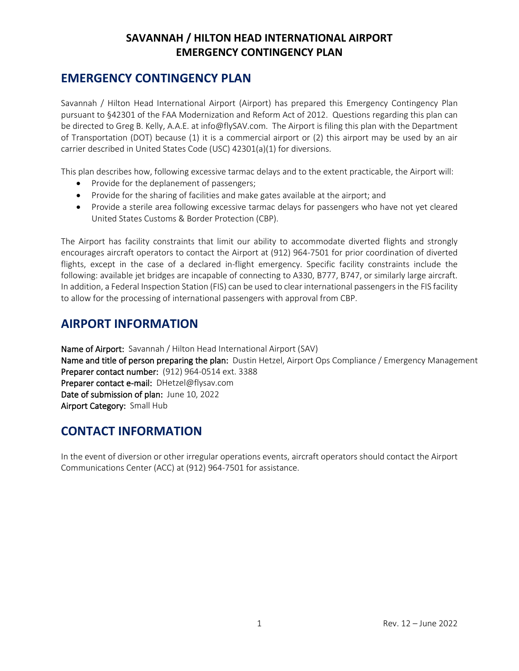#### **SAVANNAH / HILTON HEAD INTERNATIONAL AIRPORT EMERGENCY CONTINGENCY PLAN**

### **EMERGENCY CONTINGENCY PLAN**

Savannah / Hilton Head International Airport (Airport) has prepared this Emergency Contingency Plan pursuant to §42301 of the FAA Modernization and Reform Act of 2012. Questions regarding this plan can be directed to Greg B. Kelly, A.A.E. at info@flySAV.com. The Airport is filing this plan with the Department of Transportation (DOT) because (1) it is a commercial airport or (2) this airport may be used by an air carrier described in United States Code (USC) 42301(a)(1) for diversions.

This plan describes how, following excessive tarmac delays and to the extent practicable, the Airport will:

- Provide for the deplanement of passengers;
- Provide for the sharing of facilities and make gates available at the airport; and
- Provide a sterile area following excessive tarmac delays for passengers who have not yet cleared United States Customs & Border Protection (CBP).

The Airport has facility constraints that limit our ability to accommodate diverted flights and strongly encourages aircraft operators to contact the Airport at (912) 964-7501 for prior coordination of diverted flights, except in the case of a declared in-flight emergency. Specific facility constraints include the following: available jet bridges are incapable of connecting to A330, B777, B747, or similarly large aircraft. In addition, a Federal Inspection Station (FIS) can be used to clear international passengers in the FIS facility to allow for the processing of international passengers with approval from CBP.

### **AIRPORT INFORMATION**

Name of Airport: Savannah / Hilton Head International Airport (SAV)

Name and title of person preparing the plan: Dustin Hetzel, Airport Ops Compliance / Emergency Management Preparer contact number: (912) 964-0514 ext. 3388 Preparer contact e-mail: DHetzel@flysav.com Date of submission of plan: June 10, 2022 Airport Category: Small Hub

## **CONTACT INFORMATION**

In the event of diversion or other irregular operations events, aircraft operators should contact the Airport Communications Center (ACC) at (912) 964-7501 for assistance.